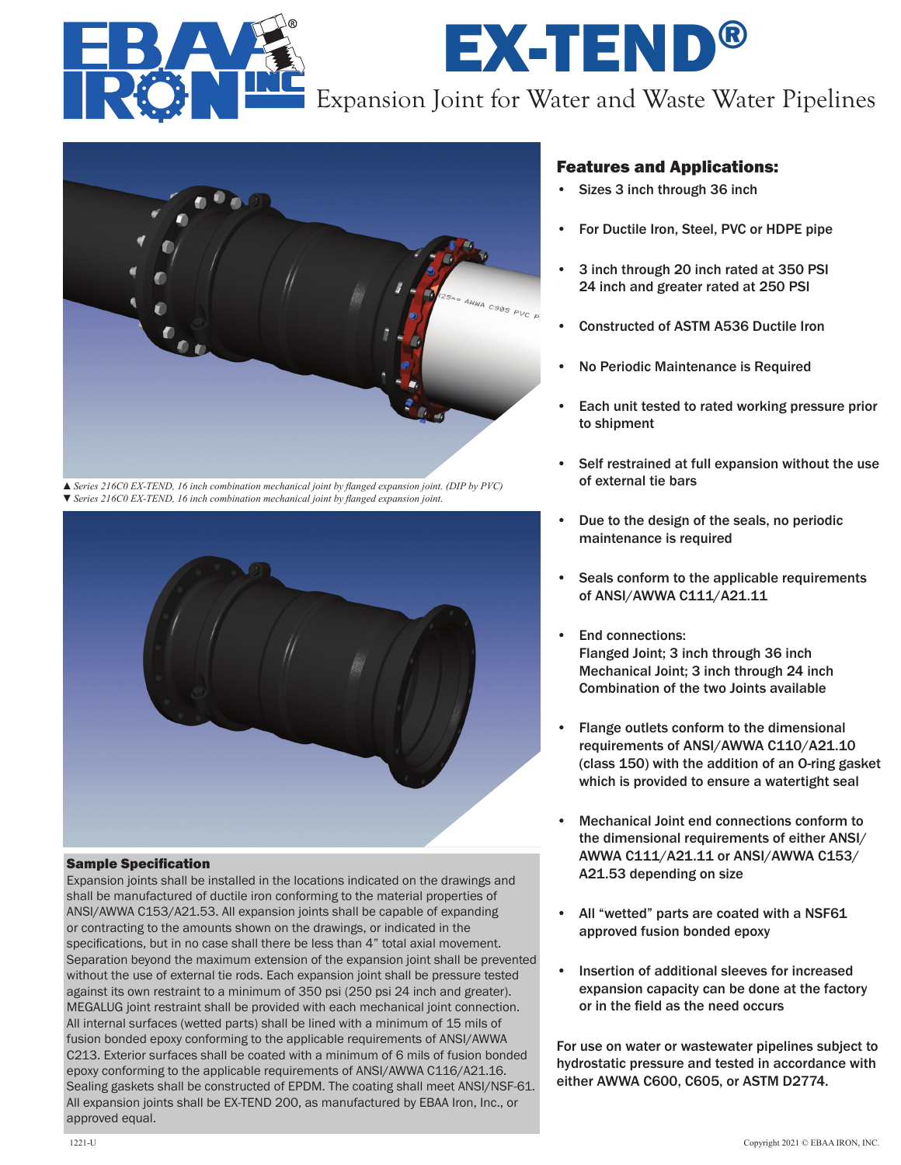

# EX-TEND® Expansion Joint for Water and Waste Water Pipelines



▲*Series 216C0 EX-TEND, 16 inch combination mechanical joint by flanged expansion joint. (DIP by PVC)* ▼*Series 216C0 EX-TEND, 16 inch combination mechanical joint by flanged expansion joint.*



#### Sample Specification

Expansion joints shall be installed in the locations indicated on the drawings and shall be manufactured of ductile iron conforming to the material properties of ANSI/AWWA C153/A21.53. All expansion joints shall be capable of expanding or contracting to the amounts shown on the drawings, or indicated in the specifications, but in no case shall there be less than 4" total axial movement. Separation beyond the maximum extension of the expansion joint shall be prevented without the use of external tie rods. Each expansion joint shall be pressure tested against its own restraint to a minimum of 350 psi (250 psi 24 inch and greater). MEGALUG joint restraint shall be provided with each mechanical joint connection. All internal surfaces (wetted parts) shall be lined with a minimum of 15 mils of fusion bonded epoxy conforming to the applicable requirements of ANSI/AWWA C213. Exterior surfaces shall be coated with a minimum of 6 mils of fusion bonded epoxy conforming to the applicable requirements of ANSI/AWWA C116/A21.16. Sealing gaskets shall be constructed of EPDM. The coating shall meet ANSI/NSF-61. All expansion joints shall be EX-TEND 200, as manufactured by EBAA Iron, Inc., or approved equal.

#### Features and Applications:

- Sizes 3 inch through 36 inch
- For Ductile Iron, Steel, PVC or HDPE pipe
- 3 inch through 20 inch rated at 350 PSI 24 inch and greater rated at 250 PSI
- Constructed of ASTM A536 Ductile Iron
- No Periodic Maintenance is Required
- Each unit tested to rated working pressure prior to shipment
- Self restrained at full expansion without the use of external tie bars
- Due to the design of the seals, no periodic maintenance is required
- Seals conform to the applicable requirements of ANSI/AWWA C111/A21.11
- End connections: Flanged Joint; 3 inch through 36 inch Mechanical Joint; 3 inch through 24 inch Combination of the two Joints available
- Flange outlets conform to the dimensional requirements of ANSI/AWWA C110/A21.10 (class 150) with the addition of an O-ring gasket which is provided to ensure a watertight seal
- Mechanical Joint end connections conform to the dimensional requirements of either ANSI/ AWWA C111/A21.11 or ANSI/AWWA C153/ A21.53 depending on size
- All "wetted" parts are coated with a NSF61 approved fusion bonded epoxy
- Insertion of additional sleeves for increased expansion capacity can be done at the factory or in the field as the need occurs

For use on water or wastewater pipelines subject to hydrostatic pressure and tested in accordance with either AWWA C600, C605, or ASTM D2774.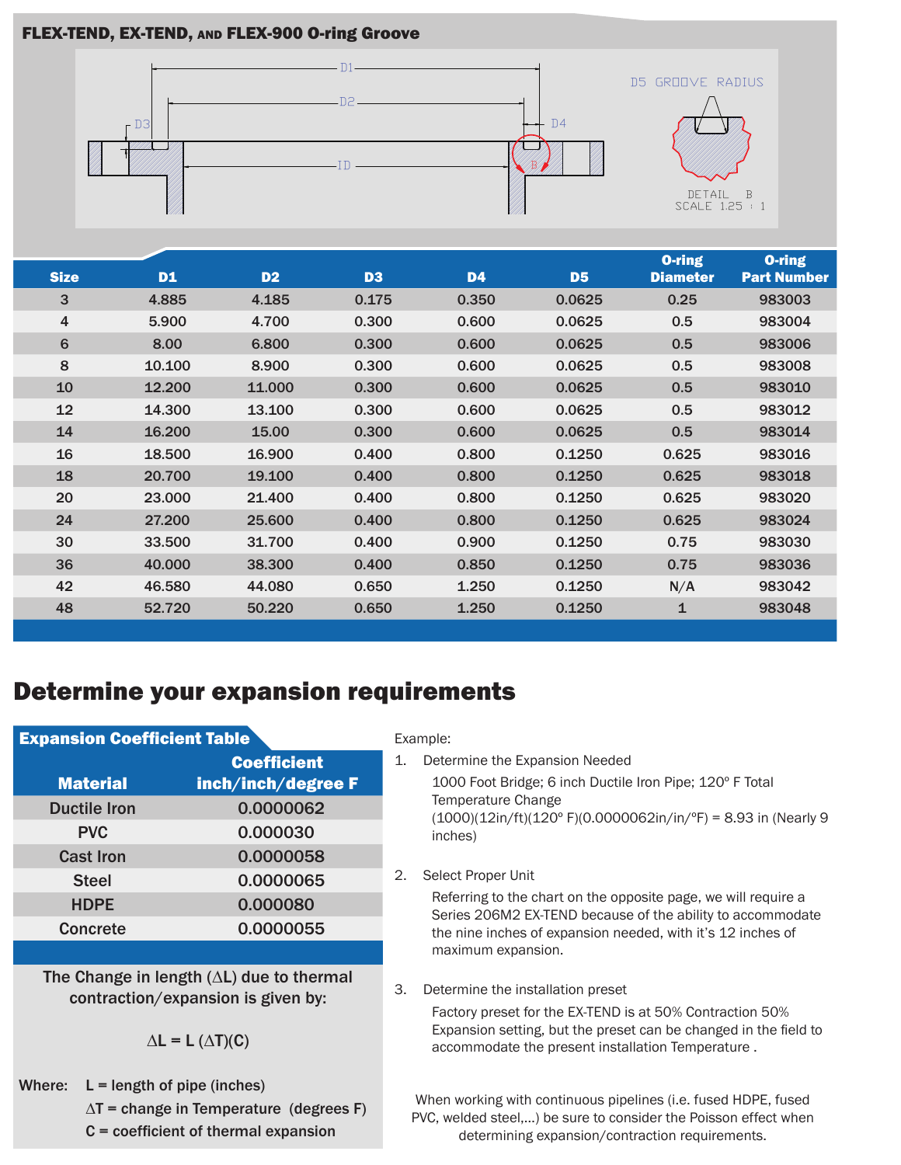#### FLEX-TEND, EX-TEND, and FLEX-900 O-ring Groove



| <b>Size</b>    | <b>D1</b> | D <sub>2</sub> | D <sub>3</sub> | <b>D4</b> | D <sub>5</sub> | <b>O-ring</b><br><b>Diameter</b> | <b>O-ring</b><br><b>Part Number</b> |
|----------------|-----------|----------------|----------------|-----------|----------------|----------------------------------|-------------------------------------|
| 3              | 4.885     | 4.185          | 0.175          | 0.350     | 0.0625         | 0.25                             | 983003                              |
| $\overline{4}$ | 5.900     | 4.700          | 0.300          | 0.600     | 0.0625         | 0.5                              | 983004                              |
| $6\phantom{1}$ | 8.00      | 6.800          | 0.300          | 0.600     | 0.0625         | 0.5                              | 983006                              |
| 8              | 10.100    | 8.900          | 0.300          | 0.600     | 0.0625         | 0.5                              | 983008                              |
| 10             | 12.200    | 11.000         | 0.300          | 0.600     | 0.0625         | 0.5                              | 983010                              |
| 12             | 14.300    | 13.100         | 0.300          | 0.600     | 0.0625         | 0.5                              | 983012                              |
| 14             | 16.200    | 15.00          | 0.300          | 0.600     | 0.0625         | 0.5                              | 983014                              |
| 16             | 18.500    | 16.900         | 0.400          | 0.800     | 0.1250         | 0.625                            | 983016                              |
| 18             | 20.700    | 19.100         | 0.400          | 0.800     | 0.1250         | 0.625                            | 983018                              |
| 20             | 23,000    | 21.400         | 0.400          | 0.800     | 0.1250         | 0.625                            | 983020                              |
| 24             | 27.200    | 25,600         | 0.400          | 0.800     | 0.1250         | 0.625                            | 983024                              |
| 30             | 33,500    | 31.700         | 0.400          | 0.900     | 0.1250         | 0.75                             | 983030                              |
| 36             | 40,000    | 38,300         | 0.400          | 0.850     | 0.1250         | 0.75                             | 983036                              |
| 42             | 46.580    | 44.080         | 0.650          | 1.250     | 0.1250         | N/A                              | 983042                              |
| 48             | 52.720    | 50,220         | 0.650          | 1.250     | 0.1250         | $\mathbf{1}$                     | 983048                              |

## Determine your expansion requirements

| <b>Expansion Coefficient Table</b> |                    |  |  |  |  |
|------------------------------------|--------------------|--|--|--|--|
|                                    | <b>Coefficient</b> |  |  |  |  |
| <b>Material</b>                    | inch/inch/degree F |  |  |  |  |
| <b>Ductile Iron</b>                | 0.0000062          |  |  |  |  |
| <b>PVC</b>                         | 0.000030           |  |  |  |  |
| <b>Cast Iron</b>                   | 0.0000058          |  |  |  |  |
| <b>Steel</b>                       | 0.0000065          |  |  |  |  |
| <b>HDPE</b>                        | 0.000080           |  |  |  |  |
| <b>Concrete</b>                    | 0.0000055          |  |  |  |  |

The Change in length (∆L) due to thermal contraction/expansion is given by:

 $\Delta L = L (\Delta T)(C)$ 

Where:  $L =$  length of pipe (inches) ∆T = change in Temperature (degrees F) C = coefficient of thermal expansion

#### Example:

1. Determine the Expansion Needed

1000 Foot Bridge; 6 inch Ductile Iron Pipe; 120º F Total Temperature Change (1000)(12in/ft)(120º F)(0.0000062in/in/ºF) = 8.93 in (Nearly 9 inches)

2. Select Proper Unit

Referring to the chart on the opposite page, we will require a Series 206M2 EX-TEND because of the ability to accommodate the nine inches of expansion needed, with it's 12 inches of maximum expansion.

3. Determine the installation preset

Factory preset for the EX-TEND is at 50% Contraction 50% Expansion setting, but the preset can be changed in the field to accommodate the present installation Temperature .

When working with continuous pipelines (i.e. fused HDPE, fused PVC, welded steel,…) be sure to consider the Poisson effect when determining expansion/contraction requirements.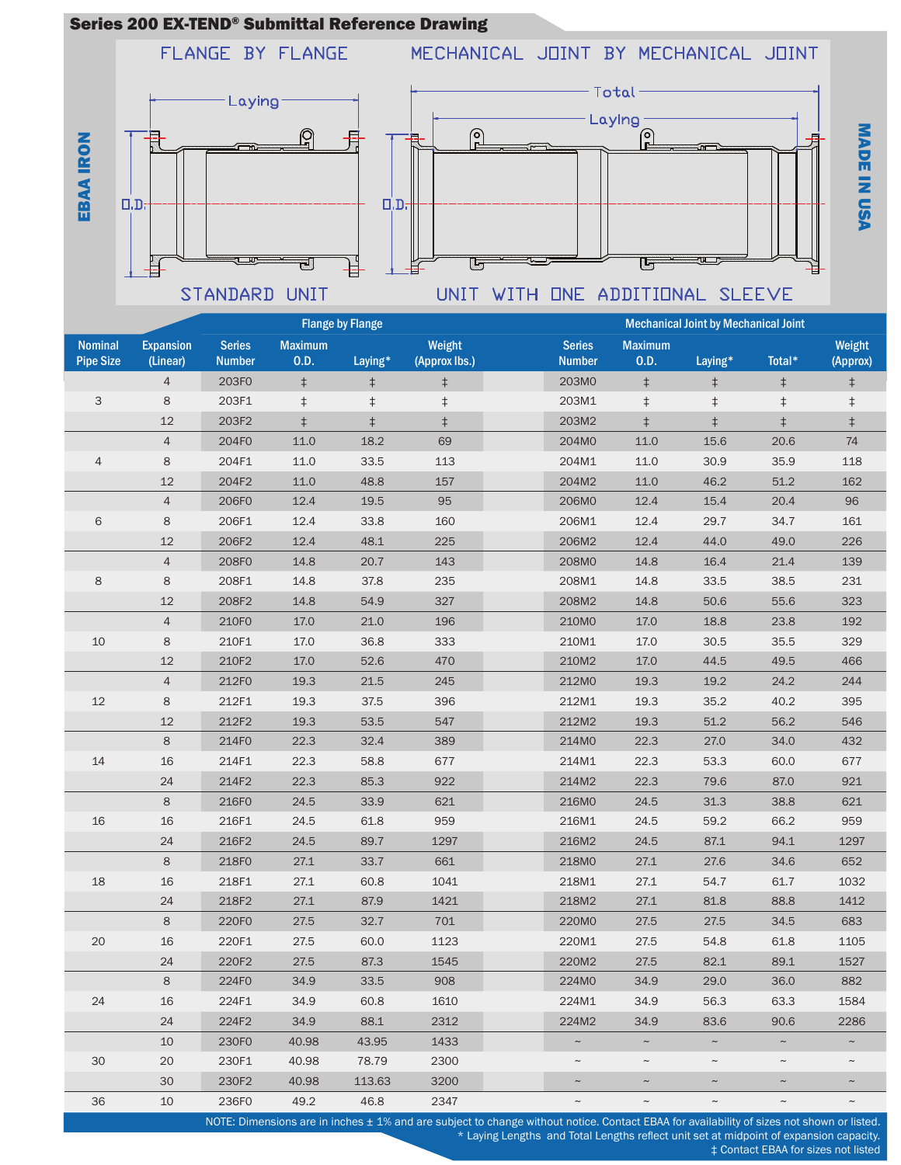#### Series 200 EX-TEND® Submittal Reference Drawing

FLANGE BY FLANGE

MECHANICAL JOINT BY MECHANICAL JOINT





M A D E

Z

U S A

|                                    | <b>Flange by Flange</b>      |                                |                        |            |                         | <b>Mechanical Joint by Mechanical Joint</b> |                           |             |             |                           |  |  |
|------------------------------------|------------------------------|--------------------------------|------------------------|------------|-------------------------|---------------------------------------------|---------------------------|-------------|-------------|---------------------------|--|--|
| <b>Nominal</b><br><b>Pipe Size</b> | <b>Expansion</b><br>(Linear) | <b>Series</b><br><b>Number</b> | <b>Maximum</b><br>0.D. | Laying*    | Weight<br>(Approx lbs.) | <b>Series</b><br><b>Number</b>              | <b>Maximum</b><br>0.D.    | Laying*     | Total*      | Weight<br>(Approx)        |  |  |
|                                    | $\overline{4}$               | 203F0                          | $\ddagger$             | $\ddagger$ | $\ddagger$              | 203M0                                       | $\ddagger$                | $\ddagger$  | $\ddagger$  | $\ddagger$                |  |  |
| 3                                  | 8                            | 203F1                          | $\ddagger$             | $\ddagger$ | $\ddagger$              | 203M1                                       | $\ddagger$                | $\ddagger$  | $\ddagger$  | $\ddagger$                |  |  |
|                                    | 12                           | 203F2                          | $\ddagger$             | $\ddagger$ | $\ddagger$              | 203M2                                       | $\ddagger$                | $\ddagger$  | $\ddagger$  | $\ddagger$                |  |  |
|                                    | $\sqrt{4}$                   | 204F0                          | 11.0                   | 18.2       | 69                      | 204M0                                       | 11.0                      | 15.6        | 20.6        | 74                        |  |  |
| $\overline{4}$                     | 8                            | 204F1                          | 11.0                   | 33.5       | 113                     | 204M1                                       | 11.0                      | 30.9        | 35.9        | 118                       |  |  |
|                                    | 12                           | 204F2                          | 11.0                   | 48.8       | 157                     | 204M2                                       | 11.0                      | 46.2        | 51.2        | 162                       |  |  |
|                                    | $\overline{4}$               | 206F0                          | 12.4                   | 19.5       | 95                      | 206M0                                       | 12.4                      | 15.4        | 20.4        | 96                        |  |  |
| $6\phantom{1}6$                    | 8                            | 206F1                          | 12.4                   | 33.8       | 160                     | 206M1                                       | 12.4                      | 29.7        | 34.7        | 161                       |  |  |
|                                    | 12                           | 206F2                          | 12.4                   | 48.1       | 225                     | 206M2                                       | 12.4                      | 44.0        | 49.0        | 226                       |  |  |
|                                    | $\overline{4}$               | 208F0                          | 14.8                   | 20.7       | 143                     | 208M0                                       | 14.8                      | 16.4        | 21.4        | 139                       |  |  |
| 8                                  | 8                            | 208F1                          | 14.8                   | 37.8       | 235                     | 208M1                                       | 14.8                      | 33.5        | 38.5        | 231                       |  |  |
|                                    | 12                           | 208F2                          | 14.8                   | 54.9       | 327                     | 208M2                                       | 14.8                      | 50.6        | 55.6        | 323                       |  |  |
|                                    | $\overline{4}$               | 210F0                          | 17.0                   | 21.0       | 196                     | 210M0                                       | 17.0                      | 18.8        | 23.8        | 192                       |  |  |
| 10                                 | 8                            | 210F1                          | 17.0                   | 36.8       | 333                     | 210M1                                       | 17.0                      | 30.5        | 35.5        | 329                       |  |  |
|                                    | 12                           | 210F2                          | 17.0                   | 52.6       | 470                     | 210M2                                       | 17.0                      | 44.5        | 49.5        | 466                       |  |  |
|                                    | $\overline{4}$               | 212F0                          | 19.3                   | 21.5       | 245                     | 212M0                                       | 19.3                      | 19.2        | 24.2        | 244                       |  |  |
| $12\,$                             | 8                            | 212F1                          | 19.3                   | 37.5       | 396                     | 212M1                                       | 19.3                      | 35.2        | 40.2        | 395                       |  |  |
|                                    | $12$                         | 212F2                          | 19.3                   | 53.5       | 547                     | 212M2                                       | 19.3                      | 51.2        | 56.2        | 546                       |  |  |
|                                    | 8                            | 214F0                          | 22.3                   | 32.4       | 389                     | 214M0                                       | 22.3                      | 27.0        | 34.0        | 432                       |  |  |
| 14                                 | 16                           | 214F1                          | 22.3                   | 58.8       | 677                     | 214M1                                       | 22.3                      | 53.3        | 60.0        | 677                       |  |  |
|                                    | 24                           | 214F2                          | 22.3                   | 85.3       | 922                     | 214M2                                       | 22.3                      | 79.6        | 87.0        | 921                       |  |  |
|                                    | 8                            | 216F0                          | 24.5                   | 33.9       | 621                     | 216M0                                       | 24.5                      | 31.3        | 38.8        | 621                       |  |  |
| 16                                 | 16                           | 216F1                          | 24.5                   | 61.8       | 959                     | 216M1                                       | 24.5                      | 59.2        | 66.2        | 959                       |  |  |
|                                    | 24                           | 216F2                          | 24.5                   | 89.7       | 1297                    | 216M2                                       | 24.5                      | 87.1        | 94.1        | 1297                      |  |  |
|                                    | $\,8\,$                      | 218F0                          | 27.1                   | 33.7       | 661                     | 218M0                                       | 27.1                      | 27.6        | 34.6        | 652                       |  |  |
| 18                                 | 16                           | 218F1                          | 27.1                   | 60.8       | 1041                    | 218M1                                       | 27.1                      | 54.7        | 61.7        | 1032                      |  |  |
|                                    | 24                           | 218F2                          | 27.1                   | 87.9       | 1421                    | 218M2                                       | 27.1                      | 81.8        | 88.8        | 1412                      |  |  |
|                                    | $\bf 8$                      | 220F0                          | 27.5                   | 32.7       | 701                     | 220M0                                       | 27.5                      | 27.5        | 34.5        | 683                       |  |  |
| 20                                 | $16\,$                       | 220F1                          | 27.5                   | 60.0       | 1123                    | 220M1                                       | 27.5                      | 54.8        | 61.8        | 1105                      |  |  |
|                                    | 24                           | 220F2                          | 27.5                   | 87.3       | 1545                    | 220M2                                       | 27.5                      | 82.1        | 89.1        | 1527                      |  |  |
|                                    | 8                            | 224F0                          | 34.9                   | 33.5       | 908                     | 224M0                                       | 34.9                      | 29.0        | 36.0        | 882                       |  |  |
| 24                                 | 16                           | 224F1                          | 34.9                   | 60.8       | 1610                    | 224M1                                       | 34.9                      | 56.3        | 63.3        | 1584                      |  |  |
|                                    | 24                           | 224F2                          | 34.9                   | 88.1       | 2312                    | 224M2                                       | 34.9                      | 83.6        | 90.6        | 2286                      |  |  |
|                                    | 10                           | 230F0                          | 40.98                  | 43.95      | 1433                    | $\thicksim$                                 | $\thicksim$               | $\thicksim$ | $\thicksim$ | $\widetilde{\phantom{m}}$ |  |  |
| 30                                 | 20                           | 230F1                          | 40.98                  | 78.79      | 2300                    | $\thicksim$                                 | $\widetilde{\phantom{m}}$ | $\thicksim$ | $\thicksim$ | $\thicksim$               |  |  |
|                                    | 30                           | 230F2                          | 40.98                  | 113.63     | 3200                    | $\thicksim$                                 | $\thicksim$               | $\thicksim$ | $\thicksim$ | $\thicksim$               |  |  |
| 36                                 | 10                           | 236F0                          | 49.2                   | 46.8       | 2347                    | $\thicksim$                                 | $\thicksim$               | $\thicksim$ | $\thicksim$ | $\thicksim$               |  |  |

NOTE: Dimensions are in inches ± 1% and are subject to change without notice. Contact EBAA for availability of sizes not shown or listed.

\* Laying Lengths and Total Lengths reflect unit set at midpoint of expansion capacity.

‡ Contact EBAA for sizes not listed